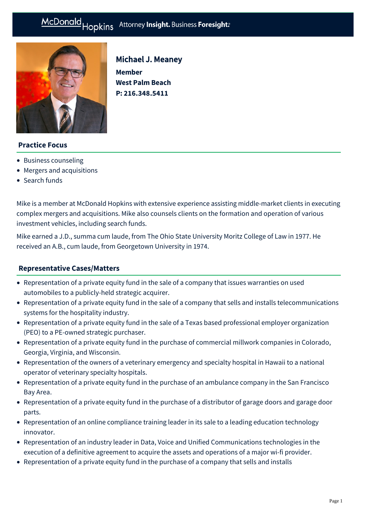# McDonald Hopkins Attorney Insight. Business Foresight:



# Michael J. Meaney

**Member West Palm Beach P: [216.348.5411](tel:216.348.5411)**

# **Practice Focus**

- [Business counseling](https://mcdonaldhopkins.com/Expertise/Business-counseling)
- [Mergers and acquisitions](https://mcdonaldhopkins.com/Expertise/Mergers-and-acquisitions)
- [Search funds](https://mcdonaldhopkins.com/Expertise/Finance/Search-funds)

Mike is a member at McDonald Hopkins with extensive experience assisting middle-market clients in executing complex mergers and acquisitions. Mike also counsels clients on the formation and operation of various investment vehicles, including search funds.

Mike earned a J.D., summa cum laude, from The Ohio State University Moritz College of Law in 1977. He received an A.B., cum laude, from Georgetown University in 1974.

## **[Representative Cases/Matters](#page-0-0)**

- <span id="page-0-0"></span>Representation of a private equity fund in the sale of a company that issues warranties on used automobiles to a publicly-held strategic acquirer.
- Representation of a private equity fund in the sale of a company that sells and installs telecommunications systems for the hospitality industry.
- Representation of a private equity fund in the sale of a Texas based professional employer organization (PEO) to a PE-owned strategic purchaser.
- Representation of a private equity fund in the purchase of commercial millwork companies in Colorado, Georgia, Virginia, and Wisconsin.
- Representation of the owners of a veterinary emergency and specialty hospital in Hawaii to a national operator of veterinary specialty hospitals.
- Representation of a private equity fund in the purchase of an ambulance company in the San Francisco Bay Area.
- Representation of a private equity fund in the purchase of a distributor of garage doors and garage door parts.
- Representation of an online compliance training leader in its sale to a leading education technology innovator.
- Representation of an industry leader in Data, Voice and Unified Communications technologies in the execution of a definitive agreement to acquire the assets and operations of a major wi-fi provider.
- Representation of a private equity fund in the purchase of a company that sells and installs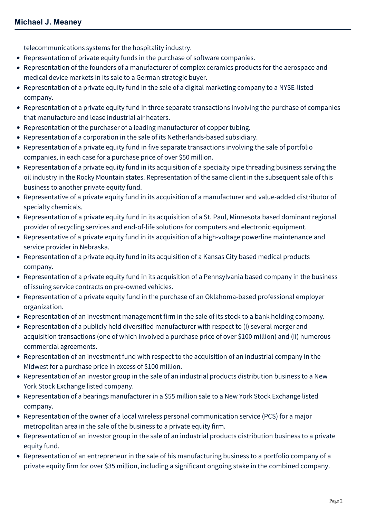telecommunications systems for the hospitality industry.

- Representation of private equity funds in the purchase of software companies.
- Representation of the founders of a manufacturer of complex ceramics products for the aerospace and medical device markets in its sale to a German strategic buyer.
- Representation of a private equity fund in the sale of a digital marketing company to a NYSE-listed company.
- Representation of a private equity fund in three separate transactions involving the purchase of companies that manufacture and lease industrial air heaters.
- Representation of the purchaser of a leading manufacturer of copper tubing.
- Representation of a corporation in the sale of its Netherlands-based subsidiary.
- Representation of a private equity fund in five separate transactions involving the sale of portfolio companies, in each case for a purchase price of over \$50 million.
- Representation of a private equity fund in its acquisition of a specialty pipe threading business serving the oil industry in the Rocky Mountain states. Representation of the same client in the subsequent sale of this business to another private equity fund.
- Representative of a private equity fund in its acquisition of a manufacturer and value-added distributor of specialty chemicals.
- Representation of a private equity fund in its acquisition of a St. Paul, Minnesota based dominant regional provider of recycling services and end-of-life solutions for computers and electronic equipment.
- Representative of a private equity fund in its acquisition of a high-voltage powerline maintenance and service provider in Nebraska.
- Representation of a private equity fund in its acquisition of a Kansas City based medical products company.
- Representation of a private equity fund in its acquisition of a Pennsylvania based company in the business of issuing service contracts on pre-owned vehicles.
- Representation of a private equity fund in the purchase of an Oklahoma-based professional employer organization.
- Representation of an investment management firm in the sale of its stock to a bank holding company.
- Representation of a publicly held diversified manufacturer with respect to (i) several merger and acquisition transactions (one of which involved a purchase price of over \$100 million) and (ii) numerous commercial agreements.
- Representation of an investment fund with respect to the acquisition of an industrial company in the Midwest for a purchase price in excess of \$100 million.
- Representation of an investor group in the sale of an industrial products distribution business to a New York Stock Exchange listed company.
- Representation of a bearings manufacturer in a \$55 million sale to a New York Stock Exchange listed company.
- Representation of the owner of a local wireless personal communication service (PCS) for a major metropolitan area in the sale of the business to a private equity firm.
- Representation of an investor group in the sale of an industrial products distribution business to a private equity fund.
- Representation of an entrepreneur in the sale of his manufacturing business to a portfolio company of a private equity firm for over \$35 million, including a significant ongoing stake in the combined company.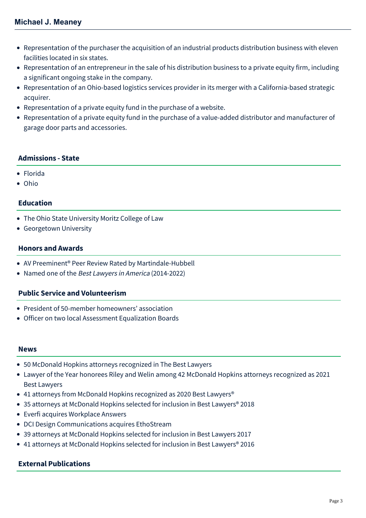- Representation of the purchaser the acquisition of an industrial products distribution business with eleven facilities located in six states.
- Representation of an entrepreneur in the sale of his distribution business to a private equity firm, including a significant ongoing stake in the company.
- Representation of an Ohio-based logistics services provider in its merger with a California-based strategic acquirer.
- Representation of a private equity fund in the purchase of a website.
- Representation of a private equity fund in the purchase of a value-added distributor and manufacturer of garage door parts and accessories.

## **Admissions - State**

- Florida
- Ohio

## **Education**

- The Ohio State University Moritz College of Law
- **Georgetown University**

#### **Honors and Awards**

- AV Preeminent® Peer Review Rated by Martindale-Hubbell
- Named one of the Best Lawyers in America (2014-2022)

# **Public Service and Volunteerism**

- President of 50-member homeowners' association
- Officer on two local Assessment Equalization Boards

#### **News**

- [50 McDonald Hopkins attorneys recognized in The Best Lawyers](https://mcdonaldhopkins.com/Insights/August-2021/50-McDonald-Hopkins-attorneys-recognized-in-The-Be)
- [Lawyer of the Year honorees Riley and Welin among 42 McDonald Hopkins attorneys recognized as 2021](https://mcdonaldhopkins.com/Insights/August-2020/Lawyer-of-the-Year-honorees-Riley-and-Welin-among) Best Lawyers
- 41 attorneys from McDonald Hopkins recognized as 2020 Best Lawyers<sup>®</sup>
- [35 attorneys at McDonald Hopkins selected for inclusion in Best Lawyers® 2018](https://mcdonaldhopkins.com/Insights/August-2017/35-attorneys-at-McDonald-Hopkins-selected-for-incl)
- [Everfi acquires Workplace Answers](https://mcdonaldhopkins.com/Insights/April-2017/Everfi-acquires-Workplace-Answers)
- [DCI Design Communications acquires EthoStream](https://mcdonaldhopkins.com/Insights/April-2017/DCI-Design-Communications-acquires-EthoStream)
- [39 attorneys at McDonald Hopkins selected for inclusion in Best Lawyers 2017](https://mcdonaldhopkins.com/Insights/August-2016/39-attorneys-at-McDonald-Hopkins-selected-for-incl)
- [41 attorneys at McDonald Hopkins selected for inclusion in Best Lawyers® 2016](https://mcdonaldhopkins.com/Insights/August-2015/33-attorneys-at-McDonald-Hopkins-selected-for-incl)

## **External Publications**